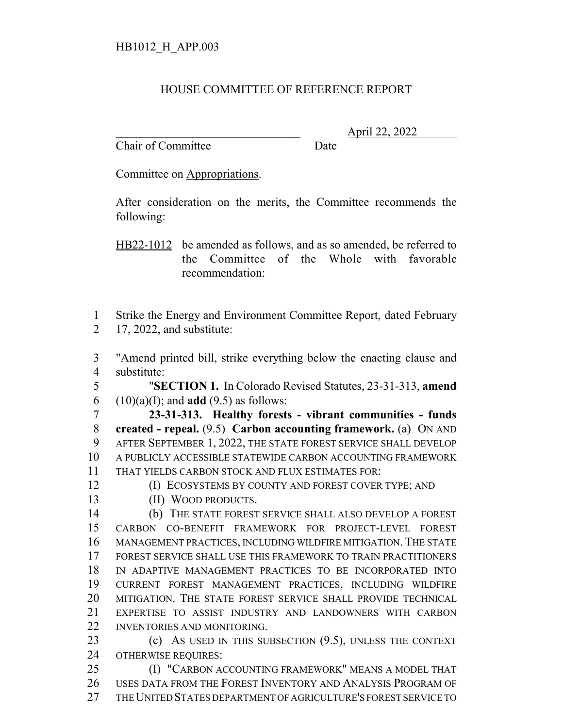## HOUSE COMMITTEE OF REFERENCE REPORT

Chair of Committee Date

\_\_\_\_\_\_\_\_\_\_\_\_\_\_\_\_\_\_\_\_\_\_\_\_\_\_\_\_\_\_\_ April 22, 2022

Committee on Appropriations.

After consideration on the merits, the Committee recommends the following:

HB22-1012 be amended as follows, and as so amended, be referred to the Committee of the Whole with favorable recommendation:

 Strike the Energy and Environment Committee Report, dated February 17, 2022, and substitute:

 "Amend printed bill, strike everything below the enacting clause and substitute:

 "**SECTION 1.** In Colorado Revised Statutes, 23-31-313, **amend** 6  $(10)(a)(I)$ ; and **add** (9.5) as follows:

 **23-31-313. Healthy forests - vibrant communities - funds created - repeal.** (9.5) **Carbon accounting framework.** (a) ON AND AFTER SEPTEMBER 1, 2022, THE STATE FOREST SERVICE SHALL DEVELOP A PUBLICLY ACCESSIBLE STATEWIDE CARBON ACCOUNTING FRAMEWORK THAT YIELDS CARBON STOCK AND FLUX ESTIMATES FOR:

**(I) ECOSYSTEMS BY COUNTY AND FOREST COVER TYPE; AND** 

13 (II) WOOD PRODUCTS.

 (b) THE STATE FOREST SERVICE SHALL ALSO DEVELOP A FOREST CARBON CO-BENEFIT FRAMEWORK FOR PROJECT-LEVEL FOREST MANAGEMENT PRACTICES, INCLUDING WILDFIRE MITIGATION. THE STATE FOREST SERVICE SHALL USE THIS FRAMEWORK TO TRAIN PRACTITIONERS IN ADAPTIVE MANAGEMENT PRACTICES TO BE INCORPORATED INTO CURRENT FOREST MANAGEMENT PRACTICES, INCLUDING WILDFIRE MITIGATION. THE STATE FOREST SERVICE SHALL PROVIDE TECHNICAL EXPERTISE TO ASSIST INDUSTRY AND LANDOWNERS WITH CARBON INVENTORIES AND MONITORING.

 (c) AS USED IN THIS SUBSECTION (9.5), UNLESS THE CONTEXT OTHERWISE REQUIRES:

**(I) "CARBON ACCOUNTING FRAMEWORK" MEANS A MODEL THAT**  USES DATA FROM THE FOREST INVENTORY AND ANALYSIS PROGRAM OF THE UNITED STATES DEPARTMENT OF AGRICULTURE'S FOREST SERVICE TO